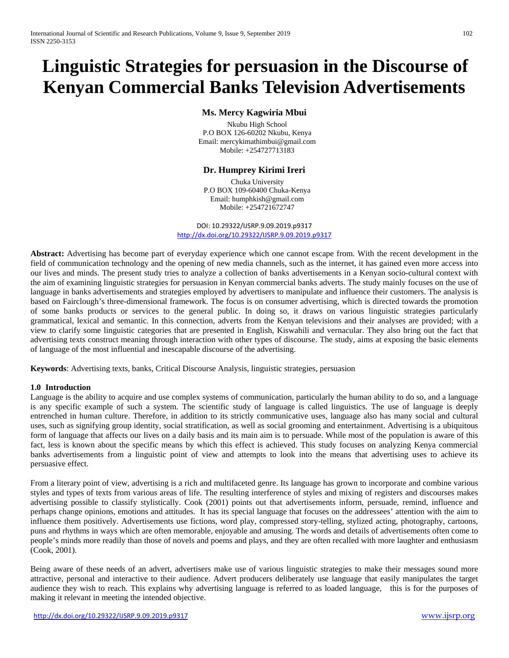# **Linguistic Strategies for persuasion in the Discourse of Kenyan Commercial Banks Television Advertisements**

# **Ms. Mercy Kagwiria Mbui**

 Nkubu High School P.O BOX 126-60202 Nkubu, Kenya Email: mercykimathimbui@gmail.com Mobile: +254727713183

# **Dr. Humprey Kirimi Ireri**

 Chuka University P.O BOX 109-60400 Chuka-Kenya Email: humphkish@gmail.com Mobile: +254721672747

DOI: 10.29322/IJSRP.9.09.2019.p9317 <http://dx.doi.org/10.29322/IJSRP.9.09.2019.p9317>

**Abstract:** Advertising has become part of everyday experience which one cannot escape from. With the recent development in the field of communication technology and the opening of new media channels, such as the internet, it has gained even more access into our lives and minds. The present study tries to analyze a collection of banks advertisements in a Kenyan socio-cultural context with the aim of examining linguistic strategies for persuasion in Kenyan commercial banks adverts. The study mainly focuses on the use of language in banks advertisements and strategies employed by advertisers to manipulate and influence their customers. The analysis is based on Fairclough's three-dimensional framework. The focus is on consumer advertising, which is directed towards the promotion of some banks products or services to the general public. In doing so, it draws on various linguistic strategies particularly grammatical, lexical and semantic. In this connection, adverts from the Kenyan televisions and their analyses are provided; with a view to clarify some linguistic categories that are presented in English, Kiswahili and vernacular. They also bring out the fact that advertising texts construct meaning through interaction with other types of discourse. The study, aims at exposing the basic elements of language of the most influential and inescapable discourse of the advertising.

**Keywords**: Advertising texts, banks, Critical Discourse Analysis, linguistic strategies, persuasion

## **1.0 Introduction**

Language is the ability to acquire and use complex systems of [communication,](https://en.wikipedia.org/wiki/Communication) particularly the [human](https://en.wikipedia.org/wiki/Human) ability to do so, and a language is any specific example of such a system. The scientific study of language is called [linguistics.](https://en.wikipedia.org/wiki/Linguistics) The use of language is deeply entrenched in human [culture.](https://en.wikipedia.org/wiki/Culture) Therefore, in addition to its strictly communicative uses, language also has many social and cultural uses, such as signifying group [identity,](https://en.wikipedia.org/wiki/Identity_%28social_science%29) [social stratification,](https://en.wikipedia.org/wiki/Social_stratification) as well as [social grooming](https://en.wikipedia.org/wiki/Social_grooming) and entertainment. [Advertising is a ubiquitous](https://en.wikipedia.org/wiki/Entertainment)  [form of language that affects our lives on a daily basis and its main aim is to persuade. While most of the population is aware of this](https://en.wikipedia.org/wiki/Entertainment)  [fact, less is known about the specific means by which this effect is achieved. This study](https://en.wikipedia.org/wiki/Entertainment) focuses on analyzing Kenya commercial banks [advertisements from a linguistic point of view and attempts to look into the means](https://en.wikipedia.org/wiki/Entertainment) that advertising uses to achieve its [persuasive effect.](https://en.wikipedia.org/wiki/Entertainment) 

From a literary point of view, advertising is a rich and multifaceted genre. Its language has grown to incorporate and combine various styles and types of texts from various areas of life. The resulting interference of styles and mixing of registers and discourses makes advertising possible to classify stylistically. Cook (2001) points out that advertisements inform, persuade, remind, influence and perhaps change opinions, emotions and attitudes. It has its special language that focuses on the addressees' attention with the aim to influence them positively. Advertisements use fictions, word play, compressed story-telling, stylized acting, photography, cartoons, puns and rhythms in ways which are often memorable, enjoyable and amusing. The words and details of advertisements often come to people's minds more readily than those of novels and poems and plays, and they are often recalled with more laughter and enthusiasm (Cook, 2001).

Being aware of these needs of an advert, advertisers make use of various linguistic strategies to make their messages sound more attractive, personal and interactive to their audience. Advert producers deliberately use language that easily manipulates the target audience they wish to reach. This explains why advertising language is referred to as loaded language, this is for the purposes of making it relevant in meeting the intended objective.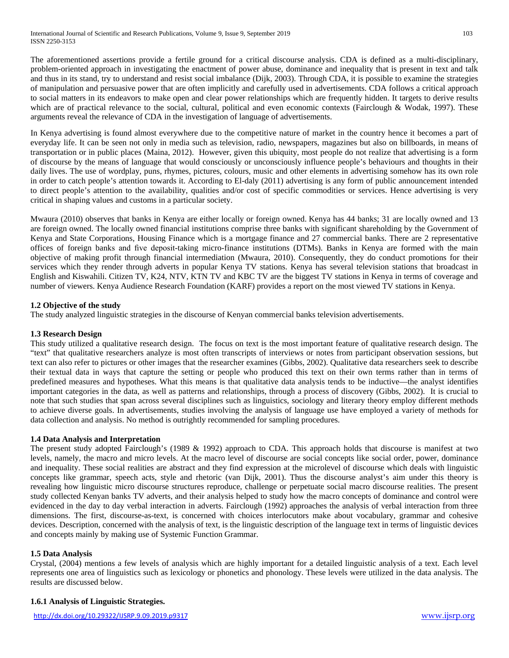The aforementioned assertions provide a fertile ground for a critical discourse analysis. CDA is defined as a multi-disciplinary, problem-oriented approach in investigating the enactment of power abuse, dominance and inequality that is present in text and talk and thus in its stand, try to understand and resist social imbalance (Dijk, 2003). Through CDA, it is possible to examine the strategies of manipulation and persuasive power that are often implicitly and carefully used in advertisements. CDA follows a critical approach to social matters in its endeavors to make open and clear power relationships which are frequently hidden. It targets to derive results which are of practical relevance to the social, cultural, political and even economic contexts (Fairclough & Wodak, 1997). These arguments reveal the relevance of CDA in the investigation of language of advertisements.

In Kenya advertising is found almost everywhere due to the competitive nature of market in the country hence it becomes a part of everyday life. It can be seen not only in media such as television, radio, newspapers, magazines but also on billboards, in means of transportation or in public places (Maina, 2012). However, given this ubiquity, most people do not realize that advertising is a form of discourse by the means of language that would consciously or unconsciously influence people's behaviours and thoughts in their daily lives. The use of wordplay, puns, rhymes, pictures, colours, music and other elements in advertising somehow has its own role in order to catch people's attention towards it. According to El-daly (2011) advertising is any form of public announcement intended to direct people's attention to the availability, qualities and/or cost of specific commodities or services. Hence advertising is very critical in shaping values and customs in a particular society.

Mwaura (2010) observes that banks in Kenya are either locally or foreign owned. Kenya has 44 banks; 31 are locally owned and 13 are foreign owned. The locally owned financial institutions comprise three banks with significant shareholding by the Government of Kenya and State Corporations, Housing Finance which is a mortgage finance and 27 commercial banks. There are 2 representative offices of foreign banks and five deposit-taking micro-finance institutions (DTMs). Banks in Kenya are formed with the main objective of making profit through financial intermediation (Mwaura, 2010). Consequently, they do conduct promotions for their services which they render through adverts in popular Kenya TV stations. Kenya has several television stations that broadcast in English and Kiswahili. Citizen TV, K24, NTV, KTN TV and KBC TV are the biggest TV stations in Kenya in terms of coverage and number of viewers. Kenya Audience Research Foundation (KARF) provides a report on the most viewed TV stations in Kenya.

# **1.2 Objective of the study**

The study analyzed linguistic strategies in the discourse of Kenyan commercial banks television advertisements.

## **1.3 Research Design**

This study utilized a qualitative research design. The focus on text is the most important feature of qualitative research design. The "text" that qualitative researchers analyze is most often transcripts of interviews or notes from participant observation sessions, but text can also refer to pictures or other images that the researcher examines (Gibbs, 2002). Qualitative data researchers seek to describe their textual data in ways that capture the setting or people who produced this text on their own terms rather than in terms of predefined measures and hypotheses. What this means is that qualitative data analysis tends to be inductive—the analyst identifies important categories in the data, as well as patterns and relationships, through a process of discovery (Gibbs, 2002). It is crucial to note that such studies that span across several disciplines such as linguistics, sociology and literary theory employ different methods to achieve diverse goals. In advertisements, studies involving the analysis of language use have employed a variety of methods for data collection and analysis. No method is outrightly recommended for sampling procedures.

## **1.4 Data Analysis and Interpretation**

The present study adopted Fairclough's (1989 & 1992) approach to CDA. This approach holds that discourse is manifest at two levels, namely, the macro and micro levels. At the macro level of discourse are social concepts like social order, power, dominance and inequality. These social realities are abstract and they find expression at the microlevel of discourse which deals with linguistic concepts like grammar, speech acts, style and rhetoric (van Dijk, 2001). Thus the discourse analyst's aim under this theory is revealing how linguistic micro discourse structures reproduce, challenge or perpetuate social macro discourse realities. The present study collected Kenyan banks TV adverts, and their analysis helped to study how the macro concepts of dominance and control were evidenced in the day to day verbal interaction in adverts. Fairclough (1992) approaches the analysis of verbal interaction from three dimensions. The first, discourse-as-text, is concerned with choices interlocutors make about vocabulary, grammar and cohesive devices. Description, concerned with the analysis of text, is the linguistic description of the language text in terms of linguistic devices and concepts mainly by making use of Systemic Function Grammar.

## **1.5 Data Analysis**

Crystal, (2004) mentions a few levels of analysis which are highly important for a detailed linguistic analysis of a text. Each level represents one area of linguistics such as lexicology or phonetics and phonology. These levels were utilized in the data analysis. The results are discussed below.

## **1.6.1 Analysis of Linguistic Strategies.**

<http://dx.doi.org/10.29322/IJSRP.9.09.2019.p9317> [www.ijsrp.org](http://ijsrp.org/)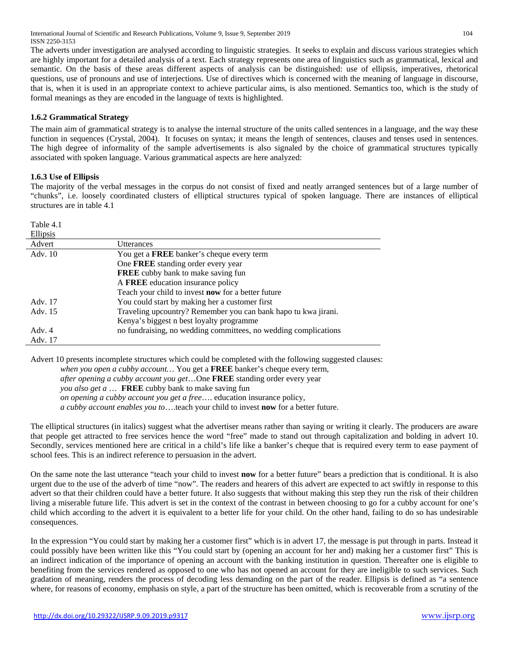International Journal of Scientific and Research Publications, Volume 9, Issue 9, September 2019 104 ISSN 2250-3153

The adverts under investigation are analysed according to linguistic strategies. It seeks to explain and discuss various strategies which are highly important for a detailed analysis of a text. Each strategy represents one area of linguistics such as grammatical, lexical and semantic. On the basis of these areas different aspects of analysis can be distinguished: use of ellipsis, imperatives, rhetorical questions, use of pronouns and use of interjections. Use of directives which is concerned with the meaning of language in discourse, that is, when it is used in an appropriate context to achieve particular aims, is also mentioned. Semantics too, which is the study of formal meanings as they are encoded in the language of texts is highlighted.

## **1.6.2 Grammatical Strategy**

The main aim of grammatical strategy is to analyse the internal structure of the units called sentences in a language, and the way these function in sequences (Crystal, 2004). It focuses on syntax; it means the length of sentences, clauses and tenses used in sentences. The high degree of informality of the sample advertisements is also signaled by the choice of grammatical structures typically associated with spoken language. Various grammatical aspects are here analyzed:

#### **1.6.3 Use of Ellipsis**

 $T = 1.1 - 4.1$ 

The majority of the verbal messages in the corpus do not consist of fixed and neatly arranged sentences but of a large number of "chunks", i.e. loosely coordinated clusters of elliptical structures typical of spoken language. There are instances of elliptical structures are in table 4.1

| 1 adie 4.1 |                                                                 |
|------------|-----------------------------------------------------------------|
| Ellipsis   |                                                                 |
| Advert     | Utterances                                                      |
| Adv. 10    | You get a <b>FREE</b> banker's cheque every term                |
|            | One FREE standing order every year                              |
|            | <b>FREE</b> cubby bank to make saving fun                       |
|            | A FREE education insurance policy                               |
|            | Teach your child to invest <b>now</b> for a better future       |
| Adv. 17    | You could start by making her a customer first                  |
| Adv. 15    | Traveling upcountry? Remember you can bank hapo tu kwa jirani.  |
|            | Kenya's biggest n best loyalty programme                        |
| Adv. $4$   | no fundraising, no wedding committees, no wedding complications |
| Adv. 17    |                                                                 |

Advert 10 presents incomplete structures which could be completed with the following suggested clauses:

*when you open a cubby account…* You get a **FREE** banker's cheque every term, *after opening a cubby account you get*…One **FREE** standing order every year *you also get a* … **FREE** cubby bank to make saving fun *on opening a cubby account you get a free*…. education insurance policy, *a cubby account enables you to*….teach your child to invest **now** for a better future.

The elliptical structures (in italics) suggest what the advertiser means rather than saying or writing it clearly. The producers are aware that people get attracted to free services hence the word "free" made to stand out through capitalization and bolding in advert 10. Secondly, services mentioned here are critical in a child's life like a banker's cheque that is required every term to ease payment of school fees. This is an indirect reference to persuasion in the advert.

On the same note the last utterance "teach your child to invest **now** for a better future" bears a prediction that is conditional. It is also urgent due to the use of the adverb of time "now". The readers and hearers of this advert are expected to act swiftly in response to this advert so that their children could have a better future. It also suggests that without making this step they run the risk of their children living a miserable future life. This advert is set in the context of the contrast in between choosing to go for a cubby account for one's child which according to the advert it is equivalent to a better life for your child. On the other hand, failing to do so has undesirable consequences.

In the expression "You could start by making her a customer first" which is in advert 17, the message is put through in parts. Instead it could possibly have been written like this "You could start by (opening an account for her and) making her a customer first" This is an indirect indication of the importance of opening an account with the banking institution in question. Thereafter one is eligible to benefiting from the services rendered as opposed to one who has not opened an account for they are ineligible to such services. Such gradation of meaning, renders the process of decoding less demanding on the part of the reader. Ellipsis is defined as "a sentence where, for reasons of economy, emphasis on style, a part of the structure has been omitted, which is recoverable from a scrutiny of the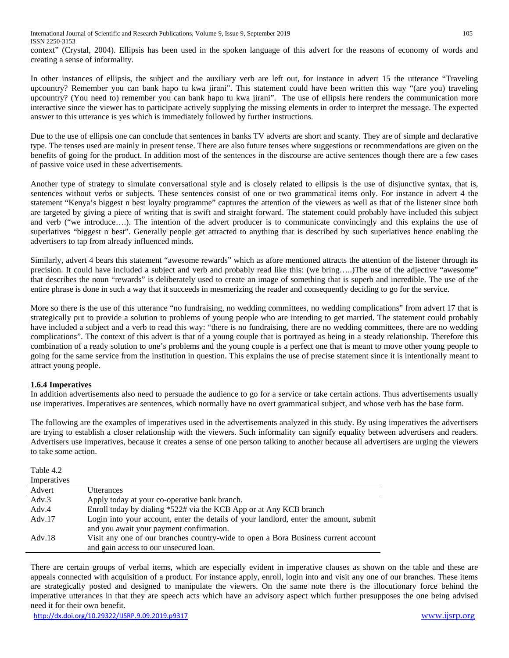context" (Crystal, 2004). Ellipsis has been used in the spoken language of this advert for the reasons of economy of words and creating a sense of informality.

In other instances of ellipsis, the subject and the auxiliary verb are left out, for instance in advert 15 the utterance "Traveling upcountry? Remember you can bank hapo tu kwa jirani". This statement could have been written this way "(are you) traveling upcountry? (You need to) remember you can bank hapo tu kwa jirani". The use of ellipsis here renders the communication more interactive since the viewer has to participate actively supplying the missing elements in order to interpret the message. The expected answer to this utterance is yes which is immediately followed by further instructions.

Due to the use of ellipsis one can conclude that sentences in banks TV adverts are short and scanty. They are of simple and declarative type. The tenses used are mainly in present tense. There are also future tenses where suggestions or recommendations are given on the benefits of going for the product. In addition most of the sentences in the discourse are active sentences though there are a few cases of passive voice used in these advertisements.

Another type of strategy to simulate conversational style and is closely related to ellipsis is the use of disjunctive syntax, that is, sentences without verbs or subjects. These sentences consist of one or two grammatical items only. For instance in advert 4 the statement "Kenya's biggest n best loyalty programme" captures the attention of the viewers as well as that of the listener since both are targeted by giving a piece of writing that is swift and straight forward. The statement could probably have included this subject and verb ("we introduce….). The intention of the advert producer is to communicate convincingly and this explains the use of superlatives "biggest n best". Generally people get attracted to anything that is described by such superlatives hence enabling the advertisers to tap from already influenced minds.

Similarly, advert 4 bears this statement "awesome rewards" which as afore mentioned attracts the attention of the listener through its precision. It could have included a subject and verb and probably read like this: (we bring…..)The use of the adjective "awesome" that describes the noun "rewards" is deliberately used to create an image of something that is superb and incredible. The use of the entire phrase is done in such a way that it succeeds in mesmerizing the reader and consequently deciding to go for the service.

More so there is the use of this utterance "no fundraising, no wedding committees, no wedding complications" from advert 17 that is strategically put to provide a solution to problems of young people who are intending to get married. The statement could probably have included a subject and a verb to read this way: "there is no fundraising, there are no wedding committees, there are no wedding complications". The context of this advert is that of a young couple that is portrayed as being in a steady relationship. Therefore this combination of a ready solution to one's problems and the young couple is a perfect one that is meant to move other young people to going for the same service from the institution in question. This explains the use of precise statement since it is intentionally meant to attract young people.

## **1.6.4 Imperatives**

 $Table 4.2$ 

In addition advertisements also need to persuade the audience to go for a service or take certain actions. Thus advertisements usually use imperatives. Imperatives are sentences, which normally have no overt grammatical subject, and whose verb has the base form.

The following are the examples of imperatives used in the advertisements analyzed in this study. By using imperatives the advertisers are trying to establish a closer relationship with the viewers. Such informality can signify equality between advertisers and readers. Advertisers use imperatives, because it creates a sense of one person talking to another because all advertisers are urging the viewers to take some action.

| <b>LAULT 4.4</b> |                                                                                       |
|------------------|---------------------------------------------------------------------------------------|
| Imperatives      |                                                                                       |
| Advert           | Utterances                                                                            |
| Adv.3            | Apply today at your co-operative bank branch.                                         |
| Adv.4            | Enroll today by dialing *522# via the KCB App or at Any KCB branch                    |
| Adv. $17$        | Login into your account, enter the details of your landlord, enter the amount, submit |
|                  | and you await your payment confirmation.                                              |
| Adv.18           | Visit any one of our branches country-wide to open a Bora Business current account    |
|                  | and gain access to our unsecured loan.                                                |

There are certain groups of verbal items, which are especially evident in imperative clauses as shown on the table and these are appeals connected with acquisition of a product. For instance apply, enroll, login into and visit any one of our branches. These items are strategically posted and designed to manipulate the viewers. On the same note there is the illocutionary force behind the imperative utterances in that they are speech acts which have an advisory aspect which further presupposes the one being advised need it for their own benefit.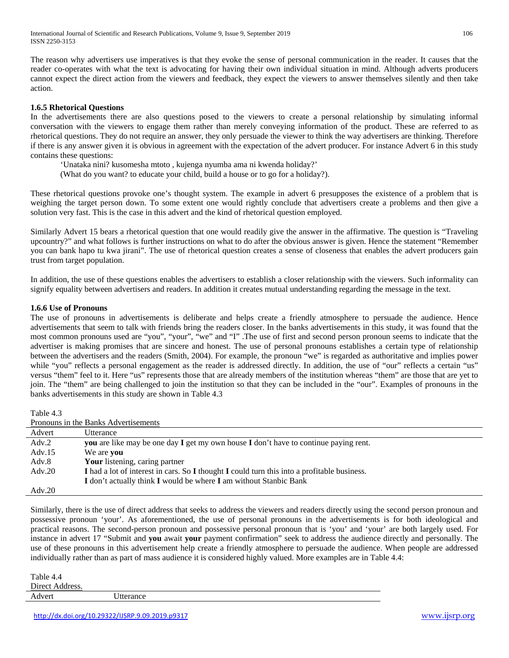The reason why advertisers use imperatives is that they evoke the sense of personal communication in the reader. It causes that the reader co-operates with what the text is advocating for having their own individual situation in mind. Although adverts producers cannot expect the direct action from the viewers and feedback, they expect the viewers to answer themselves silently and then take action.

## **1.6.5 Rhetorical Questions**

In the advertisements there are also questions posed to the viewers to create a personal relationship by simulating informal conversation with the viewers to engage them rather than merely conveying information of the product. These are referred to as rhetorical questions. They do not require an answer, they only persuade the viewer to think the way advertisers are thinking. Therefore if there is any answer given it is obvious in agreement with the expectation of the advert producer. For instance Advert 6 in this study contains these questions:

'Unataka nini? kusomesha mtoto , kujenga nyumba ama ni kwenda holiday?'

(What do you want? to educate your child, build a house or to go for a holiday?).

These rhetorical questions provoke one's thought system. The example in advert 6 presupposes the existence of a problem that is weighing the target person down. To some extent one would rightly conclude that advertisers create a problems and then give a solution very fast. This is the case in this advert and the kind of rhetorical question employed.

Similarly Advert 15 bears a rhetorical question that one would readily give the answer in the affirmative. The question is "Traveling upcountry?" and what follows is further instructions on what to do after the obvious answer is given. Hence the statement "Remember you can bank hapo tu kwa jirani". The use of rhetorical question creates a sense of closeness that enables the advert producers gain trust from target population.

In addition, the use of these questions enables the advertisers to establish a closer relationship with the viewers. Such informality can signify equality between advertisers and readers. In addition it creates mutual understanding regarding the message in the text.

## **1.6.6 Use of Pronouns**

The use of pronouns in advertisements is deliberate and helps create a friendly atmosphere to persuade the audience. Hence advertisements that seem to talk with friends bring the readers closer. In the banks advertisements in this study, it was found that the most common pronouns used are "you", "your", "we" and "I" .The use of first and second person pronoun seems to indicate that the advertiser is making promises that are sincere and honest. The use of personal pronouns establishes a certain type of relationship between the advertisers and the readers (Smith, 2004). For example, the pronoun "we" is regarded as authoritative and implies power while "you" reflects a personal engagement as the reader is addressed directly. In addition, the use of "our" reflects a certain "us" versus "them" feel to it. Here "us" represents those that are already members of the institution whereas "them" are those that are yet to join. The "them" are being challenged to join the institution so that they can be included in the "our". Examples of pronouns in the banks advertisements in this study are shown in Table 4.3

Table 4.3

| Pronouns in the Banks Advertisements |                                                                                             |  |
|--------------------------------------|---------------------------------------------------------------------------------------------|--|
| Advert                               | Utterance                                                                                   |  |
| Adv.2                                | <b>you</b> are like may be one day I get my own house I don't have to continue paying rent. |  |
| Adv.15                               | We are <b>vou</b>                                                                           |  |
| Adv.8                                | Your listening, caring partner                                                              |  |
| $\text{Adv}.20$                      | I had a lot of interest in cars. So I thought I could turn this into a profitable business. |  |
|                                      | I don't actually think I would be where I am without Stanbic Bank                           |  |
| Adv.20                               |                                                                                             |  |

Similarly, there is the use of direct address that seeks to address the viewers and readers directly using the second person pronoun and possessive pronoun 'your'. As aforementioned, the use of personal pronouns in the advertisements is for both ideological and practical reasons. The second-person pronoun and possessive personal pronoun that is 'you' and 'your' are both largely used. For instance in advert 17 "Submit and **you** await **your** payment confirmation" seek to address the audience directly and personally. The use of these pronouns in this advertisement help create a friendly atmosphere to persuade the audience. When people are addressed individually rather than as part of mass audience it is considered highly valued. More examples are in Table 4.4:

Table 4.4 Direct Address.

Advert Utterance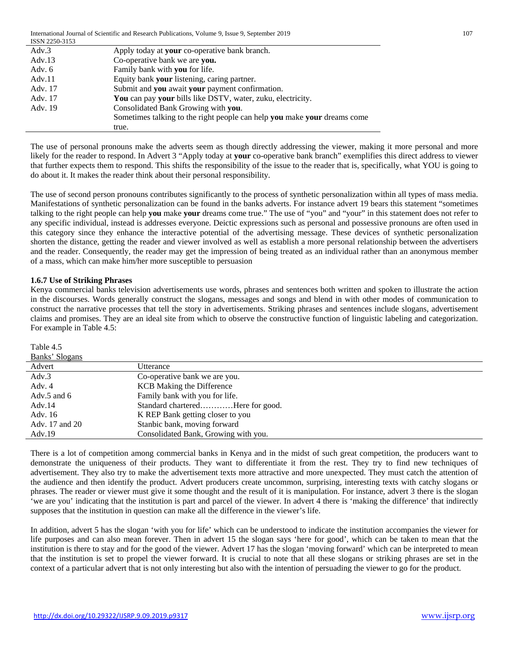International Journal of Scientific and Research Publications, Volume 9, Issue 9, September 2019 107 ICCM  $215$ 

| 15519 2250-5155 |                                                                          |
|-----------------|--------------------------------------------------------------------------|
| Adv.3           | Apply today at your co-operative bank branch.                            |
| Adv.13          | Co-operative bank we are you.                                            |
| Adv. 6          | Family bank with you for life.                                           |
| Adv.11          | Equity bank your listening, caring partner.                              |
| Adv. 17         | Submit and you await your payment confirmation.                          |
| Adv. 17         | You can pay your bills like DSTV, water, zuku, electricity.              |
| Adv. 19         | Consolidated Bank Growing with you.                                      |
|                 | Sometimes talking to the right people can help you make your dreams come |
|                 | true.                                                                    |

The use of personal pronouns make the adverts seem as though directly addressing the viewer, making it more personal and more likely for the reader to respond. In Advert 3 "Apply today at **your** co-operative bank branch" exemplifies this direct address to viewer that further expects them to respond. This shifts the responsibility of the issue to the reader that is, specifically, what YOU is going to do about it. It makes the reader think about their personal responsibility.

The use of second person pronouns contributes significantly to the process of synthetic personalization within all types of mass media. Manifestations of synthetic personalization can be found in the banks adverts. For instance advert 19 bears this statement "sometimes talking to the right people can help **you** make **your** dreams come true." The use of "you" and "your" in this statement does not refer to any specific individual, instead is addresses everyone. Deictic expressions such as personal and possessive pronouns are often used in this category since they enhance the interactive potential of the advertising message. These devices of synthetic personalization shorten the distance, getting the reader and viewer involved as well as establish a more personal relationship between the advertisers and the reader. Consequently, the reader may get the impression of being treated as an individual rather than an anonymous member of a mass, which can make him/her more susceptible to persuasion

## **1.6.7 Use of Striking Phrases**

Kenya commercial banks television advertisements use words, phrases and sentences both written and spoken to illustrate the action in the discourses. Words generally construct the slogans, messages and songs and blend in with other modes of communication to construct the narrative processes that tell the story in advertisements. Striking phrases and sentences include slogans, advertisement claims and promises. They are an ideal site from which to observe the constructive function of linguistic labeling and categorization. For example in Table 4.5:

| Banks' Slogans |                                      |
|----------------|--------------------------------------|
| Advert         | Utterance                            |
| Adv.3          | Co-operative bank we are you.        |
| Adv. 4         | <b>KCB</b> Making the Difference     |
| Adv.5 and $6$  | Family bank with you for life.       |
| Adv. $14$      | Standard charteredHere for good.     |
| Adv. 16        | K REP Bank getting closer to you     |
| Adv. 17 and 20 | Stanbic bank, moving forward         |
| Adv. $19$      | Consolidated Bank, Growing with you. |

There is a lot of competition among commercial banks in Kenya and in the midst of such great competition, the producers want to demonstrate the uniqueness of their products. They want to differentiate it from the rest. They try to find new techniques of advertisement. They also try to make the advertisement texts more attractive and more unexpected. They must catch the attention of the audience and then identify the product. Advert producers create uncommon, surprising, interesting texts with catchy slogans or phrases. The reader or viewer must give it some thought and the result of it is manipulation. For instance, advert 3 there is the slogan 'we are you' indicating that the institution is part and parcel of the viewer. In advert 4 there is 'making the difference' that indirectly supposes that the institution in question can make all the difference in the viewer's life.

In addition, advert 5 has the slogan 'with you for life' which can be understood to indicate the institution accompanies the viewer for life purposes and can also mean forever. Then in advert 15 the slogan says 'here for good', which can be taken to mean that the institution is there to stay and for the good of the viewer. Advert 17 has the slogan 'moving forward' which can be interpreted to mean that the institution is set to propel the viewer forward. It is crucial to note that all these slogans or striking phrases are set in the context of a particular advert that is not only interesting but also with the intention of persuading the viewer to go for the product.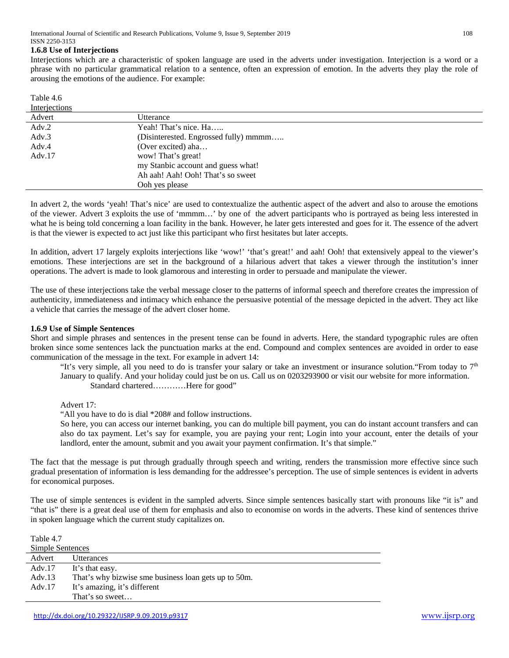#### **1.6.8 Use of Interjections**

Interjections which are a characteristic of spoken language are used in the adverts under investigation. Interjection is a word or a phrase with no particular grammatical relation to a sentence, often an expression of emotion. In the adverts they play the role of arousing the emotions of the audience. For example:

| Table 4.6 |  |  |
|-----------|--|--|
|           |  |  |

| <b>Interjections</b> |                                       |
|----------------------|---------------------------------------|
| Advert               | Utterance                             |
| Adv.2                | Yeah! That's nice. Ha                 |
| Adv.3                | (Disinterested. Engrossed fully) mmmm |
| Adv.4                | (Over excited) aha                    |
| Adv.17               | wow! That's great!                    |
|                      | my Stanbic account and guess what!    |
|                      | Ah aah! Aah! Ooh! That's so sweet     |
|                      | Ooh yes please                        |

In advert 2, the words 'yeah! That's nice' are used to contextualize the authentic aspect of the advert and also to arouse the emotions of the viewer. Advert 3 exploits the use of 'mmmm…' by one of the advert participants who is portrayed as being less interested in what he is being told concerning a loan facility in the bank. However, he later gets interested and goes for it. The essence of the advert is that the viewer is expected to act just like this participant who first hesitates but later accepts.

In addition, advert 17 largely exploits interjections like 'wow!' 'that's great!' and aah! Ooh! that extensively appeal to the viewer's emotions. These interjections are set in the background of a hilarious advert that takes a viewer through the institution's inner operations. The advert is made to look glamorous and interesting in order to persuade and manipulate the viewer.

The use of these interjections take the verbal message closer to the patterns of informal speech and therefore creates the impression of authenticity, immediateness and intimacy which enhance the persuasive potential of the message depicted in the advert. They act like a vehicle that carries the message of the advert closer home.

#### **1.6.9 Use of Simple Sentences**

Short and simple phrases and sentences in the present tense can be found in adverts. Here, the standard typographic rules are often broken since some sentences lack the punctuation marks at the end. Compound and complex sentences are avoided in order to ease communication of the message in the text. For example in advert 14:

"It's very simple, all you need to do is transfer your salary or take an investment or insurance solution."From today to  $7<sup>th</sup>$ January to qualify. And your holiday could just be on us. Call us on 0203293900 or visit our website for more information. Standard chartered…………Here for good"

Advert 17:

"All you have to do is dial \*208# and follow instructions.

So here, you can access our internet banking, you can do multiple bill payment, you can do instant account transfers and can also do tax payment. Let's say for example, you are paying your rent; Login into your account, enter the details of your landlord, enter the amount, submit and you await your payment confirmation. It's that simple."

The fact that the message is put through gradually through speech and writing, renders the transmission more effective since such gradual presentation of information is less demanding for the addressee's perception. The use of simple sentences is evident in adverts for economical purposes.

The use of simple sentences is evident in the sampled adverts. Since simple sentences basically start with pronouns like "it is" and "that is" there is a great deal use of them for emphasis and also to economise on words in the adverts. These kind of sentences thrive in spoken language which the current study capitalizes on.

Table 4.7

| <b>Simple Sentences</b> |                                                      |  |
|-------------------------|------------------------------------------------------|--|
| Advert                  | <b>Utterances</b>                                    |  |
| Adv. $17$               | It's that easy.                                      |  |
| Adv.13                  | That's why bizwise sme business loan gets up to 50m. |  |
| Adv.17                  | It's amazing, it's different                         |  |
|                         | That's so sweet                                      |  |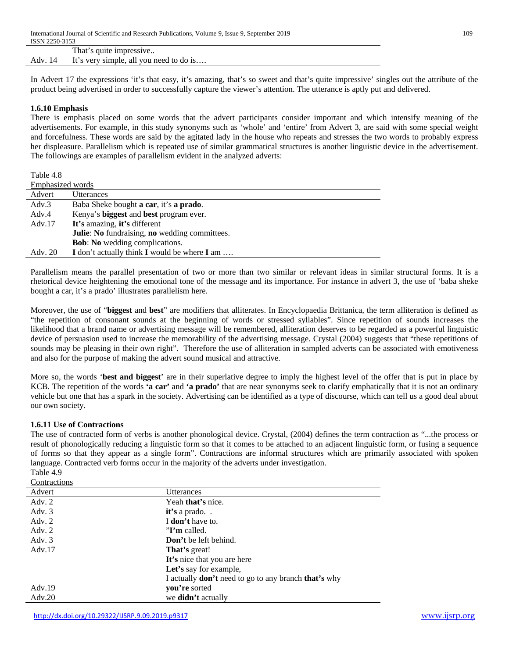|      | That's quite impressive                 |
|------|-----------------------------------------|
| Adv. | It's very simple, all you need to do is |

In Advert 17 the expressions 'it's that easy, it's amazing, that's so sweet and that's quite impressive' singles out the attribute of the product being advertised in order to successfully capture the viewer's attention. The utterance is aptly put and delivered.

## **1.6.10 Emphasis**

There is emphasis placed on some words that the advert participants consider important and which intensify meaning of the advertisements. For example, in this study synonyms such as 'whole' and 'entire' from Advert 3, are said with some special weight and forcefulness. These words are said by the agitated lady in the house who repeats and stresses the two words to probably express her displeasure. Parallelism which is repeated use of similar grammatical structures is another linguistic device in the advertisement. The followings are examples of parallelism evident in the analyzed adverts:

Table 4.8

| Emphasized words |                                               |  |
|------------------|-----------------------------------------------|--|
| Advert           | <b>Utterances</b>                             |  |
| Adv.3            | Baba Sheke bought a car, it's a prado.        |  |
| Adv.4            | Kenya's biggest and best program ever.        |  |
| Adv.17           | It's amazing, it's different                  |  |
|                  | Julie: No fundraising, no wedding committees. |  |
|                  | <b>Bob:</b> No wedding complications.         |  |
| Adv. 20          | I don't actually think I would be where I am  |  |

Parallelism means the parallel presentation of two or more than two similar or relevant ideas in similar structural forms. It is a rhetorical device heightening the emotional tone of the message and its importance. For instance in advert 3, the use of 'baba sheke bought a car, it's a prado' illustrates parallelism here.

Moreover, the use of "**biggest** and **best**" are modifiers that alliterates. In Encyclopaedia Brittanica, the term alliteration is defined as "the repetition of consonant sounds at the beginning of words or stressed syllables". Since repetition of sounds increases the likelihood that a brand name or advertising message will be remembered, alliteration deserves to be regarded as a powerful linguistic device of persuasion used to increase the memorability of the advertising message. Crystal (2004) suggests that "these repetitions of sounds may be pleasing in their own right". Therefore the use of alliteration in sampled adverts can be associated with emotiveness and also for the purpose of making the advert sound musical and attractive.

More so, the words '**best and biggest**' are in their superlative degree to imply the highest level of the offer that is put in place by KCB. The repetition of the words **'a car'** and **'a prado'** that are near synonyms seek to clarify emphatically that it is not an ordinary vehicle but one that has a spark in the society. Advertising can be identified as a type of discourse, which can tell us a good deal about our own society.

## **1.6.11 Use of Contractions**

The use of contracted form of verbs is another phonological device. Crystal, (2004) defines the term contraction as "...the process or result of phonologically reducing a linguistic form so that it comes to be attached to an adjacent linguistic form, or fusing a sequence of forms so that they appear as a single form". Contractions are informal structures which are primarily associated with spoken language. Contracted verb forms occur in the majority of the adverts under investigation.

Table 4.9 **Contractions** 

| Advert   | Utterances                                                         |
|----------|--------------------------------------------------------------------|
| Adv. $2$ | Yeah that's nice.                                                  |
| Adv. $3$ | $it's$ a prado                                                     |
| Adv. 2   | I don't have to.                                                   |
| Adv. 2   | $"I'm$ called.                                                     |
| Adv. $3$ | Don't be left behind.                                              |
| Adv.17   | <b>That's</b> great!                                               |
|          | It's nice that you are here                                        |
|          | Let's say for example,                                             |
|          | I actually <b>don't</b> need to go to any branch <b>that's</b> why |
| Adv.19   | you're sorted                                                      |
| Adv.20   | we <b>didn't</b> actually                                          |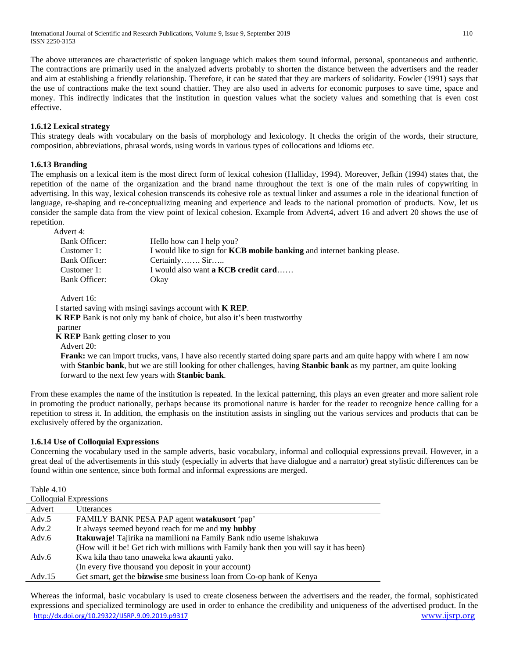International Journal of Scientific and Research Publications, Volume 9, Issue 9, September 2019 110 ISSN 2250-3153

The above utterances are characteristic of spoken language which makes them sound informal, personal, spontaneous and authentic. The contractions are primarily used in the analyzed adverts probably to shorten the distance between the advertisers and the reader and aim at establishing a friendly relationship. Therefore, it can be stated that they are markers of solidarity. Fowler (1991) says that the use of contractions make the text sound chattier. They are also used in adverts for economic purposes to save time, space and money. This indirectly indicates that the institution in question values what the society values and something that is even cost effective.

## **1.6.12 Lexical strategy**

This strategy deals with vocabulary on the basis of morphology and lexicology. It checks the origin of the words, their structure, composition, abbreviations, phrasal words, using words in various types of collocations and idioms etc.

## **1.6.13 Branding**

The emphasis on a lexical item is the most direct form of lexical cohesion (Halliday, 1994). Moreover, Jefkin (1994) states that, the repetition of the name of the organization and the brand name throughout the text is one of the main rules of copywriting in advertising. In this way, lexical cohesion transcends its cohesive role as textual linker and assumes a role in the ideational function of language, re-shaping and re-conceptualizing meaning and experience and leads to the national promotion of products. Now, let us consider the sample data from the view point of lexical cohesion. Example from Advert4, advert 16 and advert 20 shows the use of repetition.

Advert 4:

| Bank Officer: | Hello how can I help you?                                                       |
|---------------|---------------------------------------------------------------------------------|
| Customer 1:   | I would like to sign for <b>KCB</b> mobile banking and internet banking please. |
| Bank Officer: | Certainly Sir                                                                   |
| Customer 1:   | I would also want <b>a KCB credit card</b>                                      |
| Bank Officer: | Okav                                                                            |

Advert 16:

I started saving with msingi savings account with **K REP**.

**K REP** Bank is not only my bank of choice, but also it's been trustworthy

partner

 $\pm$  1.100  $\pm$  1.100  $\pm$ 

**K REP** Bank getting closer to you

Advert 20:

**Frank:** we can import trucks, vans, I have also recently started doing spare parts and am quite happy with where I am now with **Stanbic bank**, but we are still looking for other challenges, having **Stanbic bank** as my partner, am quite looking forward to the next few years with **Stanbic bank**.

From these examples the name of the institution is repeated. In the lexical patterning, this plays an even greater and more salient role in promoting the product nationally, perhaps because its promotional nature is harder for the reader to recognize hence calling for a repetition to stress it. In addition, the emphasis on the institution assists in singling out the various services and products that can be exclusively offered by the organization.

#### **1.6.14 Use of Colloquial Expressions**

Concerning the vocabulary used in the sample adverts, basic vocabulary, informal and colloquial expressions prevail. However, in a great deal of the advertisements in this study (especially in adverts that have dialogue and a narrator) great stylistic differences can be found within one sentence, since both formal and informal expressions are merged.

| Table 4.10                    |                                                                                         |  |
|-------------------------------|-----------------------------------------------------------------------------------------|--|
| <b>Colloquial Expressions</b> |                                                                                         |  |
| Advert                        | Utterances                                                                              |  |
| Adv.5                         | FAMILY BANK PESA PAP agent watakusort 'pap'                                             |  |
| Adv.2                         | It always seemed beyond reach for me and my hubby                                       |  |
| Adv.6                         | Itakuwaje! Tajirika na mamilioni na Family Bank ndio useme ishakuwa                     |  |
|                               | (How will it be! Get rich with millions with Family bank then you will say it has been) |  |
| Adv.6                         | Kwa kila thao tano unaweka kwa akaunti yako.                                            |  |
|                               | (In every five thousand you deposit in your account)                                    |  |
| Adv.15                        | Get smart, get the <b>bizwise</b> sme business loan from Co-op bank of Kenya            |  |

<http://dx.doi.org/10.29322/IJSRP.9.09.2019.p9317> [www.ijsrp.org](http://ijsrp.org/) Whereas the informal, basic vocabulary is used to create closeness between the advertisers and the reader, the formal, sophisticated expressions and specialized terminology are used in order to enhance the credibility and uniqueness of the advertised product. In the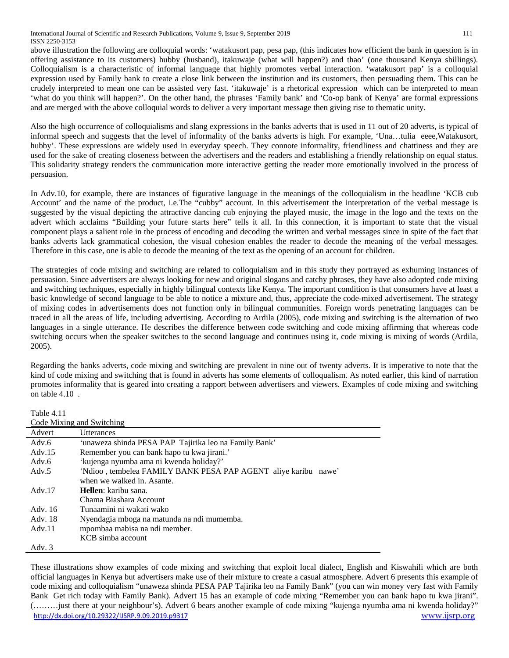above illustration the following are colloquial words: 'watakusort pap, pesa pap, (this indicates how efficient the bank in question is in offering assistance to its customers) hubby (husband), itakuwaje (what will happen?) and thao' (one thousand Kenya shillings). Colloquialism is a characteristic of informal language that highly promotes verbal interaction. 'watakusort pap' is a colloquial expression used by Family bank to create a close link between the institution and its customers, then persuading them. This can be crudely interpreted to mean one can be assisted very fast. 'itakuwaje' is a rhetorical expression which can be interpreted to mean 'what do you think will happen?'. On the other hand, the phrases 'Family bank' and 'Co-op bank of Kenya' are formal expressions and are merged with the above colloquial words to deliver a very important message then giving rise to thematic unity.

Also the high occurrence of colloquialisms and slang expressions in the banks adverts that is used in 11 out of 20 adverts, is typical of informal speech and suggests that the level of informality of the banks adverts is high. For example, 'Una…tulia eeee,Watakusort, hubby'. These expressions are widely used in everyday speech. They connote informality, friendliness and chattiness and they are used for the sake of creating closeness between the advertisers and the readers and establishing a friendly relationship on equal status. This solidarity strategy renders the communication more interactive getting the reader more emotionally involved in the process of persuasion.

In Adv.10, for example, there are instances of figurative language in the meanings of the colloquialism in the headline 'KCB cub Account' and the name of the product, i.e.The "cubby" account. In this advertisement the interpretation of the verbal message is suggested by the visual depicting the attractive dancing cub enjoying the played music, the image in the logo and the texts on the advert which acclaims "Building your future starts here" tells it all. In this connection, it is important to state that the visual component plays a salient role in the process of encoding and decoding the written and verbal messages since in spite of the fact that banks adverts lack grammatical cohesion, the visual cohesion enables the reader to decode the meaning of the verbal messages. Therefore in this case, one is able to decode the meaning of the text as the opening of an account for children.

The strategies of code mixing and switching are related to colloquialism and in this study they portrayed as exhuming instances of persuasion. Since advertisers are always looking for new and original slogans and catchy phrases, they have also adopted code mixing and switching techniques, especially in highly bilingual contexts like Kenya. The important condition is that consumers have at least a basic knowledge of second language to be able to notice a mixture and, thus, appreciate the code-mixed advertisement. The strategy of mixing codes in advertisements does not function only in bilingual communities. Foreign words penetrating languages can be traced in all the areas of life, including advertising. According to Ardila (2005), code mixing and switching is the alternation of two languages in a single utterance. He describes the difference between code switching and code mixing affirming that whereas code switching occurs when the speaker switches to the second language and continues using it, code mixing is mixing of words (Ardila, 2005).

Regarding the banks adverts, code mixing and switching are prevalent in nine out of twenty adverts. It is imperative to note that the kind of code mixing and switching that is found in adverts has some elements of colloqualism. As noted earlier, this kind of narration promotes informality that is geared into creating a rapport between advertisers and viewers. Examples of code mixing and switching on table 4.10 .

Table 4.11

| Code Mixing and Switching |                                                                |  |
|---------------------------|----------------------------------------------------------------|--|
| Advert                    | <i><u><b>Utterances</b></u></i>                                |  |
| Adv.6                     | 'unaweza shinda PESA PAP Tajirika leo na Family Bank'          |  |
| Adv. $15$                 | Remember you can bank hapo tu kwa jirani.'                     |  |
| Adv.6                     | 'kujenga nyumba ama ni kwenda holiday?'                        |  |
| Adv.5                     | 'Ndioo, tembelea FAMILY BANK PESA PAP AGENT aliye karibu nawe' |  |
|                           | when we walked in. Asante.                                     |  |
| Adv.17                    | Hellen: karibu sana.                                           |  |
|                           | Chama Biashara Account                                         |  |
| Adv. 16                   | Tunaamini ni wakati wako                                       |  |
| Adv. 18                   | Nyendagia mboga na matunda na ndi mumemba.                     |  |
| Adv.11                    | mpombaa mabisa na ndi member.                                  |  |
|                           | KCB simba account                                              |  |
| Adv. 3                    |                                                                |  |

<http://dx.doi.org/10.29322/IJSRP.9.09.2019.p9317> [www.ijsrp.org](http://ijsrp.org/) These illustrations show examples of code mixing and switching that exploit local dialect, English and Kiswahili which are both official languages in Kenya but advertisers make use of their mixture to create a casual atmosphere. Advert 6 presents this example of code mixing and colloquialism "unaweza shinda PESA PAP Tajirika leo na Family Bank" (you can win money very fast with Family Bank Get rich today with Family Bank). Advert 15 has an example of code mixing "Remember you can bank hapo tu kwa jirani". (………just there at your neighbour's). Advert 6 bears another example of code mixing "kujenga nyumba ama ni kwenda holiday?"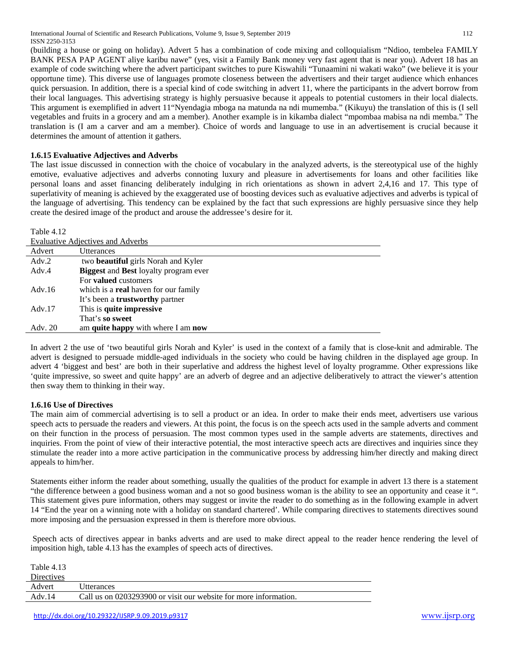(building a house or going on holiday). Advert 5 has a combination of code mixing and colloquialism "Ndioo, tembelea FAMILY BANK PESA PAP AGENT aliye karibu nawe" (yes, visit a Family Bank money very fast agent that is near you). Advert 18 has an example of code switching where the advert participant switches to pure Kiswahili "Tunaamini ni wakati wako" (we believe it is your opportune time). This diverse use of languages promote closeness between the advertisers and their target audience which enhances quick persuasion. In addition, there is a special kind of code switching in advert 11, where the participants in the advert borrow from their local languages. This advertising strategy is highly persuasive because it appeals to potential customers in their local dialects. This argument is exemplified in advert 11"Nyendagia mboga na matunda na ndi mumemba." (Kikuyu) the translation of this is (I sell vegetables and fruits in a grocery and am a member). Another example is in kikamba dialect "mpombaa mabisa na ndi memba." The translation is (I am a carver and am a member). Choice of words and language to use in an advertisement is crucial because it determines the amount of attention it gathers.

# **1.6.15 Evaluative Adjectives and Adverbs**

The last issue discussed in connection with the choice of vocabulary in the analyzed adverts, is the stereotypical use of the highly emotive, evaluative adjectives and adverbs connoting luxury and pleasure in advertisements for loans and other facilities like personal loans and asset financing deliberately indulging in rich orientations as shown in advert 2,4,16 and 17. This type of superlativity of meaning is achieved by the exaggerated use of boosting devices such as evaluative adjectives and adverbs is typical of the language of advertising. This tendency can be explained by the fact that such expressions are highly persuasive since they help create the desired image of the product and arouse the addressee's desire for it.

Table 4.12

| <b>Evaluative Adjectives and Adverbs</b> |                                                     |
|------------------------------------------|-----------------------------------------------------|
| Advert                                   | Utterances                                          |
| Adv.2                                    | two <b>beautiful</b> girls Norah and Kyler          |
| Adv.4                                    | <b>Biggest</b> and <b>Best</b> loyalty program ever |
|                                          | For <b>valued</b> customers                         |
| Adv.16                                   | which is a <b>real</b> haven for our family         |
|                                          | It's been a <b>trustworthy</b> partner              |
| Adv. $17$                                | This is quite impressive                            |
|                                          | That's so sweet                                     |
| Adv. 20                                  | am quite happy with where I am now                  |

In advert 2 the use of 'two beautiful girls Norah and Kyler' is used in the context of a family that is close-knit and admirable. The advert is designed to persuade middle-aged individuals in the society who could be having children in the displayed age group. In advert 4 'biggest and best' are both in their superlative and address the highest level of loyalty programme. Other expressions like 'quite impressive, so sweet and quite happy' are an adverb of degree and an adjective deliberatively to attract the viewer's attention then sway them to thinking in their way.

## **1.6.16 Use of Directives**

The main aim of commercial advertising is to sell a product or an idea. In order to make their ends meet, advertisers use various speech acts to persuade the readers and viewers. At this point, the focus is on the speech acts used in the sample adverts and comment on their function in the process of persuasion. The most common types used in the sample adverts are statements, directives and inquiries. From the point of view of their interactive potential, the most interactive speech acts are directives and inquiries since they stimulate the reader into a more active participation in the communicative process by addressing him/her directly and making direct appeals to him/her.

Statements either inform the reader about something, usually the qualities of the product for example in advert 13 there is a statement "the difference between a good business woman and a not so good business woman is the ability to see an opportunity and cease it ". This statement gives pure information, others may suggest or invite the reader to do something as in the following example in advert 14 "End the year on a winning note with a holiday on standard chartered'. While comparing directives to statements directives sound more imposing and the persuasion expressed in them is therefore more obvious.

Speech acts of directives appear in banks adverts and are used to make direct appeal to the reader hence rendering the level of imposition high, table 4.13 has the examples of speech acts of directives.

Table 4.13

| <b>Directives</b> |                                                                  |
|-------------------|------------------------------------------------------------------|
| Advert            | Utterances                                                       |
| Adv.14            | Call us on 0203293900 or visit our website for more information. |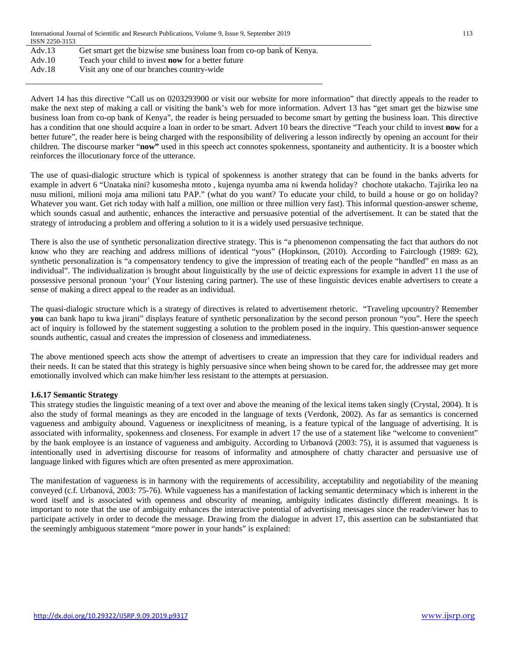| Adv.13 | Get smart get the bizwise sme business loan from co-op bank of Kenya. |
|--------|-----------------------------------------------------------------------|
| Adv.10 | Teach your child to invest <b>now</b> for a better future             |
| Adv.18 | Visit any one of our branches country-wide                            |

Advert 14 has this directive "Call us on 0203293900 or visit our website for more information" that directly appeals to the reader to make the next step of making a call or visiting the bank's web for more information. Advert 13 has "get smart get the bizwise sme business loan from co-op bank of Kenya", the reader is being persuaded to become smart by getting the business loan. This directive has a condition that one should acquire a loan in order to be smart. Advert 10 bears the directive "Teach your child to invest **now** for a better future", the reader here is being charged with the responsibility of delivering a lesson indirectly by opening an account for their children. The discourse marker "**now"** used in this speech act connotes spokenness, spontaneity and authenticity. It is a booster which reinforces the illocutionary force of the utterance.

The use of quasi-dialogic structure which is typical of spokenness is another strategy that can be found in the banks adverts for example in advert 6 "Unataka nini? kusomesha mtoto , kujenga nyumba ama ni kwenda holiday? chochote utakacho. Tajirika leo na nusu milioni, milioni moja ama milioni tatu PAP." (what do you want? To educate your child, to build a house or go on holiday? Whatever you want. Get rich today with half a million, one million or three million very fast). This informal question-answer scheme, which sounds casual and authentic, enhances the interactive and persuasive potential of the advertisement. It can be stated that the strategy of introducing a problem and offering a solution to it is a widely used persuasive technique.

There is also the use of synthetic personalization directive strategy. This is "a phenomenon compensating the fact that authors do not know who they are reaching and address millions of identical "yous" (Hopkinson, (2010). According to Fairclough (1989: 62), synthetic personalization is "a compensatory tendency to give the impression of treating each of the people "handled" en mass as an individual". The individualization is brought about linguistically by the use of deictic expressions for example in advert 11 the use of possessive personal pronoun 'your' (Your listening caring partner). The use of these linguistic devices enable advertisers to create a sense of making a direct appeal to the reader as an individual.

The quasi-dialogic structure which is a strategy of directives is related to advertisement rhetoric. "Traveling upcountry? Remember **you** can bank hapo tu kwa jirani" displays feature of synthetic personalization by the second person pronoun "you". Here the speech act of inquiry is followed by the statement suggesting a solution to the problem posed in the inquiry. This question-answer sequence sounds authentic, casual and creates the impression of closeness and immediateness.

The above mentioned speech acts show the attempt of advertisers to create an impression that they care for individual readers and their needs. It can be stated that this strategy is highly persuasive since when being shown to be cared for, the addressee may get more emotionally involved which can make him/her less resistant to the attempts at persuasion.

## **1.6.17 Semantic Strategy**

This strategy studies the linguistic meaning of a text over and above the meaning of the lexical items taken singly (Crystal, 2004). It is also the study of formal meanings as they are encoded in the language of texts (Verdonk, 2002). As far as semantics is concerned vagueness and ambiguity abound. Vagueness or inexplicitness of meaning, is a feature typical of the language of advertising. It is associated with informality, spokenness and closeness. For example in advert 17 the use of a statement like "welcome to convenient" by the bank employee is an instance of vagueness and ambiguity. According to Urbanová (2003: 75), it is assumed that vagueness is intentionally used in advertising discourse for reasons of informality and atmosphere of chatty character and persuasive use of language linked with figures which are often presented as mere approximation.

The manifestation of vagueness is in harmony with the requirements of accessibility, acceptability and negotiability of the meaning conveyed (c.f. Urbanová, 2003: 75-76). While vagueness has a manifestation of lacking semantic determinacy which is inherent in the word itself and is associated with openness and obscurity of meaning, ambiguity indicates distinctly different meanings. It is important to note that the use of ambiguity enhances the interactive potential of advertising messages since the reader/viewer has to participate actively in order to decode the message. Drawing from the dialogue in advert 17, this assertion can be substantiated that the seemingly ambiguous statement "more power in your hands" is explained: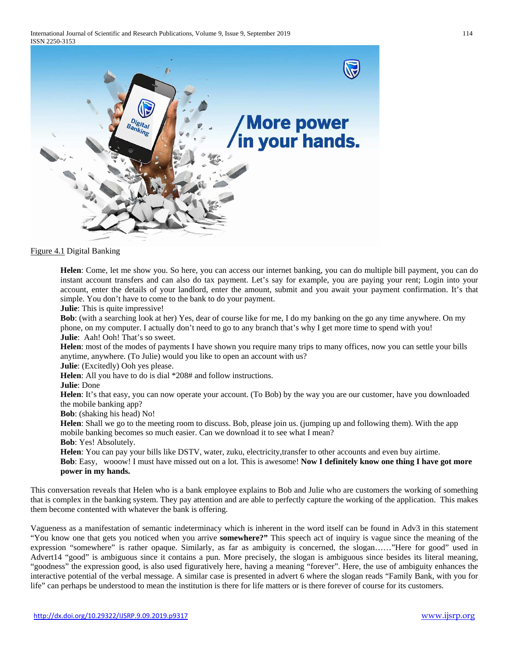International Journal of Scientific and Research Publications, Volume 9, Issue 9, September 2019 114 ISSN 2250-3153



Figure 4.1 Digital Banking

**Helen**: Come, let me show you. So here, you can access our internet banking, you can do multiple bill payment, you can do instant account transfers and can also do tax payment. Let's say for example, you are paying your rent; Login into your account, enter the details of your landlord, enter the amount, submit and you await your payment confirmation. It's that simple. You don't have to come to the bank to do your payment.

**Julie**: This is quite impressive!

**Bob**: (with a searching look at her) Yes, dear of course like for me, I do my banking on the go any time anywhere. On my phone, on my computer. I actually don't need to go to any branch that's why I get more time to spend with you!

**Julie**: Aah! Ooh! That's so sweet.

**Helen**: most of the modes of payments I have shown you require many trips to many offices, now you can settle your bills anytime, anywhere. (To Julie) would you like to open an account with us?

**Julie**: (Excitedly) Ooh yes please.

**Helen**: All you have to do is dial \*208# and follow instructions.

**Julie**: Done

**Helen**: It's that easy, you can now operate your account. (To Bob) by the way you are our customer, have you downloaded the mobile banking app?

**Bob**: (shaking his head) No!

**Helen**: Shall we go to the meeting room to discuss. Bob, please join us. (jumping up and following them). With the app mobile banking becomes so much easier. Can we download it to see what I mean? **Bob**: Yes! Absolutely.

**Helen**: You can pay your bills like DSTV, water, zuku, electricity,transfer to other accounts and even buy airtime. **Bob**: Easy, wooow! I must have missed out on a lot. This is awesome! **Now I definitely know one thing I have got more power in my hands.**

This conversation reveals that Helen who is a bank employee explains to Bob and Julie who are customers the working of something that is complex in the banking system. They pay attention and are able to perfectly capture the working of the application. This makes them become contented with whatever the bank is offering.

Vagueness as a manifestation of semantic indeterminacy which is inherent in the word itself can be found in Adv3 in this statement "You know one that gets you noticed when you arrive **somewhere?"** This speech act of inquiry is vague since the meaning of the expression "somewhere" is rather opaque. Similarly, as far as ambiguity is concerned, the slogan……"Here for good" used in Advert14 "good" is ambiguous since it contains a pun. More precisely, the slogan is ambiguous since besides its literal meaning, "goodness" the expression good, is also used figuratively here, having a meaning "forever". Here, the use of ambiguity enhances the interactive potential of the verbal message. A similar case is presented in advert 6 where the slogan reads "Family Bank, with you for life" can perhaps be understood to mean the institution is there for life matters or is there forever of course for its customers.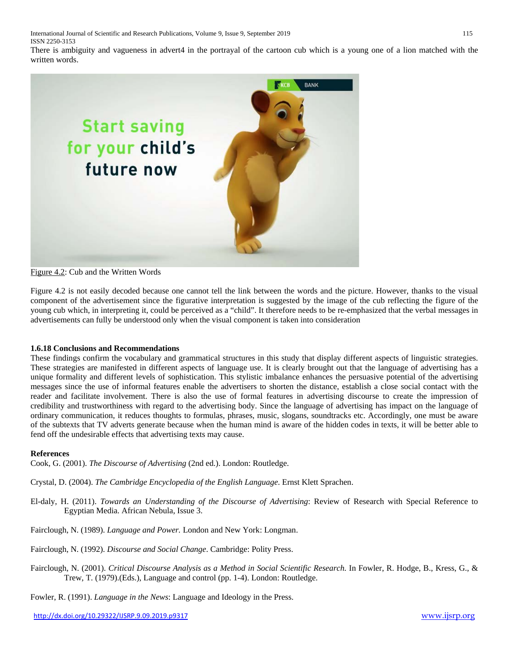International Journal of Scientific and Research Publications, Volume 9, Issue 9, September 2019 115 ISSN 2250-3153

There is ambiguity and vagueness in advert4 in the portrayal of the cartoon cub which is a young one of a lion matched with the written words.



#### Figure 4.2: Cub and the Written Words

Figure 4.2 is not easily decoded because one cannot tell the link between the words and the picture. However, thanks to the visual component of the advertisement since the figurative interpretation is suggested by the image of the cub reflecting the figure of the young cub which, in interpreting it, could be perceived as a "child". It therefore needs to be re-emphasized that the verbal messages in advertisements can fully be understood only when the visual component is taken into consideration

#### **1.6.18 Conclusions and Recommendations**

These findings confirm the vocabulary and grammatical structures in this study that display different aspects of linguistic strategies. These strategies are manifested in different aspects of language use. It is clearly brought out that the language of advertising has a unique formality and different levels of sophistication. This stylistic imbalance enhances the persuasive potential of the advertising messages since the use of informal features enable the advertisers to shorten the distance, establish a close social contact with the reader and facilitate involvement. There is also the use of formal features in advertising discourse to create the impression of credibility and trustworthiness with regard to the advertising body. Since the language of advertising has impact on the language of ordinary communication, it reduces thoughts to formulas, phrases, music, slogans, soundtracks etc. Accordingly, one must be aware of the subtexts that TV adverts generate because when the human mind is aware of the hidden codes in texts, it will be better able to fend off the undesirable effects that advertising texts may cause.

#### **References**

Cook, G. (2001). *The Discourse of Advertising* (2nd ed.). London: Routledge.

Crystal, D. (2004). *The Cambridge Encyclopedia of the English Language*. Ernst Klett Sprachen.

- El-daly, H. (2011). *Towards an Understanding of the Discourse of Advertising*: Review of Research with Special Reference to Egyptian Media. African Nebula, Issue 3.
- Fairclough, N. (1989). *Language and Power.* London and New York: Longman.
- Fairclough, N. (1992). *Discourse and Social Change*. Cambridge: Polity Press.
- Fairclough, N. (2001). *Critical Discourse Analysis as a Method in Social Scientific Research.* In Fowler, R. Hodge, B., Kress, G., & Trew, T. (1979).(Eds.), Language and control (pp. 1-4). London: Routledge.

Fowler, R. (1991). *Language in the News*: Language and Ideology in the Press.